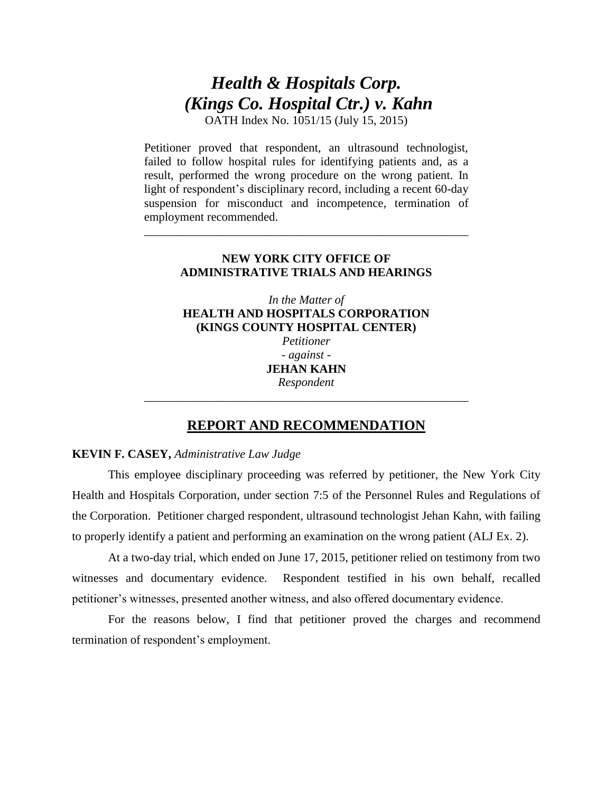# *Health & Hospitals Corp. (Kings Co. Hospital Ctr.) v. Kahn*

OATH Index No. 1051/15 (July 15, 2015)

Petitioner proved that respondent, an ultrasound technologist, failed to follow hospital rules for identifying patients and, as a result, performed the wrong procedure on the wrong patient. In light of respondent's disciplinary record, including a recent 60-day suspension for misconduct and incompetence, termination of employment recommended.

# **NEW YORK CITY OFFICE OF ADMINISTRATIVE TRIALS AND HEARINGS**

\_\_\_\_\_\_\_\_\_\_\_\_\_\_\_\_\_\_\_\_\_\_\_\_\_\_\_\_\_\_\_\_\_\_\_\_\_\_\_\_\_\_\_\_\_\_\_\_\_\_\_\_\_\_

*In the Matter of*  **HEALTH AND HOSPITALS CORPORATION (KINGS COUNTY HOSPITAL CENTER)** *Petitioner - against* - **JEHAN KAHN** *Respondent*

# **REPORT AND RECOMMENDATION**

*\_\_\_\_\_\_\_\_\_\_\_\_\_\_\_\_\_\_\_\_\_\_\_\_\_\_\_\_\_\_\_\_\_\_\_\_\_\_\_\_\_\_\_\_\_\_\_\_\_\_\_\_\_\_*

# **KEVIN F. CASEY,** *Administrative Law Judge*

This employee disciplinary proceeding was referred by petitioner, the New York City Health and Hospitals Corporation, under section 7:5 of the Personnel Rules and Regulations of the Corporation. Petitioner charged respondent, ultrasound technologist Jehan Kahn, with failing to properly identify a patient and performing an examination on the wrong patient (ALJ Ex. 2).

At a two-day trial, which ended on June 17, 2015, petitioner relied on testimony from two witnesses and documentary evidence. Respondent testified in his own behalf, recalled petitioner's witnesses, presented another witness, and also offered documentary evidence.

For the reasons below, I find that petitioner proved the charges and recommend termination of respondent's employment.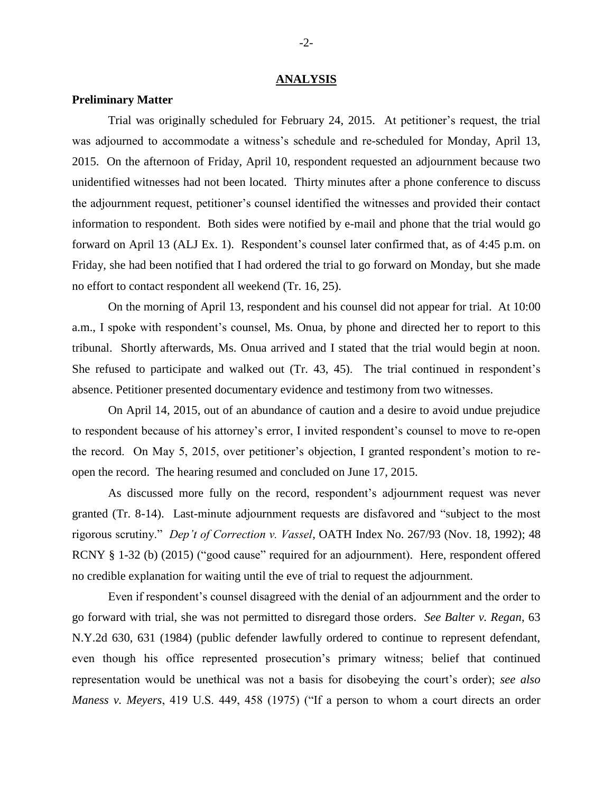#### **ANALYSIS**

## **Preliminary Matter**

Trial was originally scheduled for February 24, 2015. At petitioner's request, the trial was adjourned to accommodate a witness's schedule and re-scheduled for Monday, April 13, 2015. On the afternoon of Friday, April 10, respondent requested an adjournment because two unidentified witnesses had not been located. Thirty minutes after a phone conference to discuss the adjournment request, petitioner's counsel identified the witnesses and provided their contact information to respondent. Both sides were notified by e-mail and phone that the trial would go forward on April 13 (ALJ Ex. 1). Respondent's counsel later confirmed that, as of 4:45 p.m. on Friday, she had been notified that I had ordered the trial to go forward on Monday, but she made no effort to contact respondent all weekend (Tr. 16, 25).

On the morning of April 13, respondent and his counsel did not appear for trial. At 10:00 a.m., I spoke with respondent's counsel, Ms. Onua, by phone and directed her to report to this tribunal. Shortly afterwards, Ms. Onua arrived and I stated that the trial would begin at noon. She refused to participate and walked out (Tr. 43, 45). The trial continued in respondent's absence. Petitioner presented documentary evidence and testimony from two witnesses.

On April 14, 2015, out of an abundance of caution and a desire to avoid undue prejudice to respondent because of his attorney's error, I invited respondent's counsel to move to re-open the record. On May 5, 2015, over petitioner's objection, I granted respondent's motion to reopen the record. The hearing resumed and concluded on June 17, 2015.

As discussed more fully on the record, respondent's adjournment request was never granted (Tr. 8-14). Last-minute adjournment requests are disfavored and "subject to the most rigorous scrutiny." *Dep't of Correction v. Vassel*, OATH Index No. 267/93 (Nov. 18, 1992); 48 RCNY § 1-32 (b) (2015) ("good cause" required for an adjournment). Here, respondent offered no credible explanation for waiting until the eve of trial to request the adjournment.

Even if respondent's counsel disagreed with the denial of an adjournment and the order to go forward with trial, she was not permitted to disregard those orders. *See Balter v. Regan*, 63 N.Y.2d 630, 631 (1984) (public defender lawfully ordered to continue to represent defendant, even though his office represented prosecution's primary witness; belief that continued representation would be unethical was not a basis for disobeying the court's order); *see also Maness v. Meyers*, 419 U.S. 449, 458 (1975) ("If a person to whom a court directs an order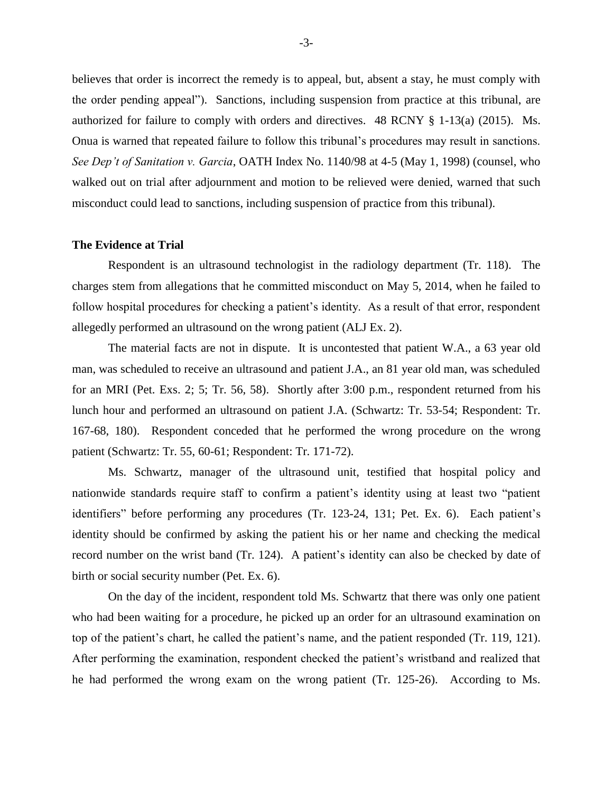believes that order is incorrect the remedy is to appeal, but, absent a stay, he must comply with the order pending appeal"). Sanctions, including suspension from practice at this tribunal, are authorized for failure to comply with orders and directives. 48 RCNY § 1-13(a) (2015). Ms. Onua is warned that repeated failure to follow this tribunal's procedures may result in sanctions. *See Dep't of Sanitation v. Garcia*, OATH Index No. 1140/98 at 4-5 (May 1, 1998) (counsel, who walked out on trial after adjournment and motion to be relieved were denied, warned that such misconduct could lead to sanctions, including suspension of practice from this tribunal).

### **The Evidence at Trial**

Respondent is an ultrasound technologist in the radiology department (Tr. 118). The charges stem from allegations that he committed misconduct on May 5, 2014, when he failed to follow hospital procedures for checking a patient's identity. As a result of that error, respondent allegedly performed an ultrasound on the wrong patient (ALJ Ex. 2).

The material facts are not in dispute. It is uncontested that patient W.A., a 63 year old man, was scheduled to receive an ultrasound and patient J.A., an 81 year old man, was scheduled for an MRI (Pet. Exs. 2; 5; Tr. 56, 58). Shortly after 3:00 p.m., respondent returned from his lunch hour and performed an ultrasound on patient J.A. (Schwartz: Tr. 53-54; Respondent: Tr. 167-68, 180). Respondent conceded that he performed the wrong procedure on the wrong patient (Schwartz: Tr. 55, 60-61; Respondent: Tr. 171-72).

Ms. Schwartz, manager of the ultrasound unit, testified that hospital policy and nationwide standards require staff to confirm a patient's identity using at least two "patient identifiers" before performing any procedures (Tr. 123-24, 131; Pet. Ex. 6). Each patient's identity should be confirmed by asking the patient his or her name and checking the medical record number on the wrist band (Tr. 124). A patient's identity can also be checked by date of birth or social security number (Pet. Ex. 6).

On the day of the incident, respondent told Ms. Schwartz that there was only one patient who had been waiting for a procedure, he picked up an order for an ultrasound examination on top of the patient's chart, he called the patient's name, and the patient responded (Tr. 119, 121). After performing the examination, respondent checked the patient's wristband and realized that he had performed the wrong exam on the wrong patient (Tr. 125-26). According to Ms.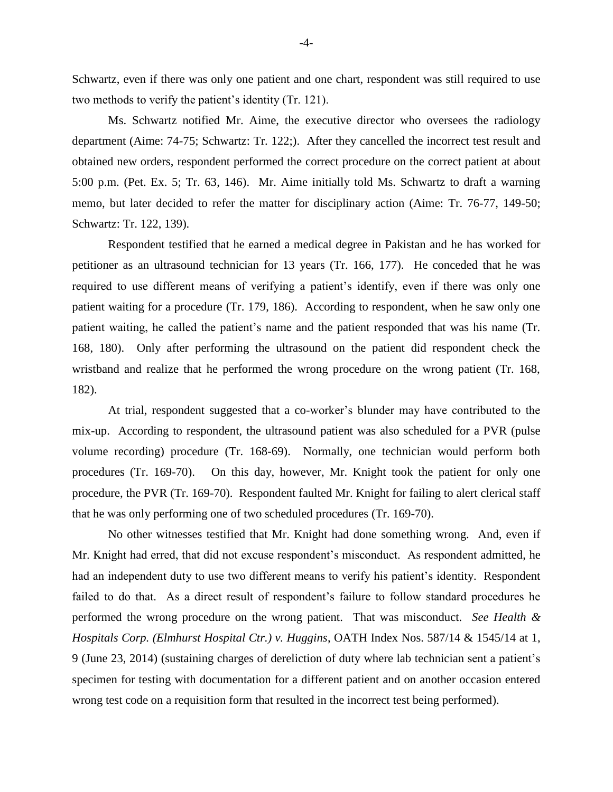Schwartz, even if there was only one patient and one chart, respondent was still required to use two methods to verify the patient's identity (Tr. 121).

Ms. Schwartz notified Mr. Aime, the executive director who oversees the radiology department (Aime: 74-75; Schwartz: Tr. 122;). After they cancelled the incorrect test result and obtained new orders, respondent performed the correct procedure on the correct patient at about 5:00 p.m. (Pet. Ex. 5; Tr. 63, 146). Mr. Aime initially told Ms. Schwartz to draft a warning memo, but later decided to refer the matter for disciplinary action (Aime: Tr. 76-77, 149-50; Schwartz: Tr. 122, 139).

Respondent testified that he earned a medical degree in Pakistan and he has worked for petitioner as an ultrasound technician for 13 years (Tr. 166, 177). He conceded that he was required to use different means of verifying a patient's identify, even if there was only one patient waiting for a procedure (Tr. 179, 186). According to respondent, when he saw only one patient waiting, he called the patient's name and the patient responded that was his name (Tr. 168, 180). Only after performing the ultrasound on the patient did respondent check the wristband and realize that he performed the wrong procedure on the wrong patient (Tr. 168, 182).

At trial, respondent suggested that a co-worker's blunder may have contributed to the mix-up. According to respondent, the ultrasound patient was also scheduled for a PVR (pulse volume recording) procedure (Tr. 168-69). Normally, one technician would perform both procedures (Tr. 169-70). On this day, however, Mr. Knight took the patient for only one procedure, the PVR (Tr. 169-70). Respondent faulted Mr. Knight for failing to alert clerical staff that he was only performing one of two scheduled procedures (Tr. 169-70).

No other witnesses testified that Mr. Knight had done something wrong. And, even if Mr. Knight had erred, that did not excuse respondent's misconduct. As respondent admitted, he had an independent duty to use two different means to verify his patient's identity. Respondent failed to do that. As a direct result of respondent's failure to follow standard procedures he performed the wrong procedure on the wrong patient. That was misconduct. *See Health & Hospitals Corp. (Elmhurst Hospital Ctr.) v. Huggins*, OATH Index Nos. 587/14 & 1545/14 at 1, 9 (June 23, 2014) (sustaining charges of dereliction of duty where lab technician sent a patient's specimen for testing with documentation for a different patient and on another occasion entered wrong test code on a requisition form that resulted in the incorrect test being performed).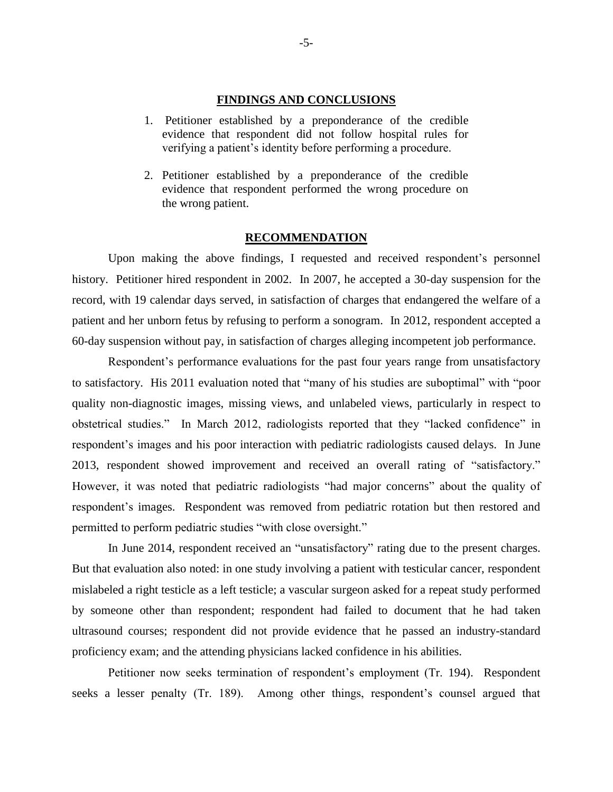#### **FINDINGS AND CONCLUSIONS**

- 1. Petitioner established by a preponderance of the credible evidence that respondent did not follow hospital rules for verifying a patient's identity before performing a procedure.
- 2. Petitioner established by a preponderance of the credible evidence that respondent performed the wrong procedure on the wrong patient.

## **RECOMMENDATION**

Upon making the above findings, I requested and received respondent's personnel history. Petitioner hired respondent in 2002. In 2007, he accepted a 30-day suspension for the record, with 19 calendar days served, in satisfaction of charges that endangered the welfare of a patient and her unborn fetus by refusing to perform a sonogram. In 2012, respondent accepted a 60-day suspension without pay, in satisfaction of charges alleging incompetent job performance.

Respondent's performance evaluations for the past four years range from unsatisfactory to satisfactory. His 2011 evaluation noted that "many of his studies are suboptimal" with "poor quality non-diagnostic images, missing views, and unlabeled views, particularly in respect to obstetrical studies." In March 2012, radiologists reported that they "lacked confidence" in respondent's images and his poor interaction with pediatric radiologists caused delays. In June 2013, respondent showed improvement and received an overall rating of "satisfactory." However, it was noted that pediatric radiologists "had major concerns" about the quality of respondent's images. Respondent was removed from pediatric rotation but then restored and permitted to perform pediatric studies "with close oversight."

In June 2014, respondent received an "unsatisfactory" rating due to the present charges. But that evaluation also noted: in one study involving a patient with testicular cancer, respondent mislabeled a right testicle as a left testicle; a vascular surgeon asked for a repeat study performed by someone other than respondent; respondent had failed to document that he had taken ultrasound courses; respondent did not provide evidence that he passed an industry-standard proficiency exam; and the attending physicians lacked confidence in his abilities.

Petitioner now seeks termination of respondent's employment (Tr. 194). Respondent seeks a lesser penalty (Tr. 189). Among other things, respondent's counsel argued that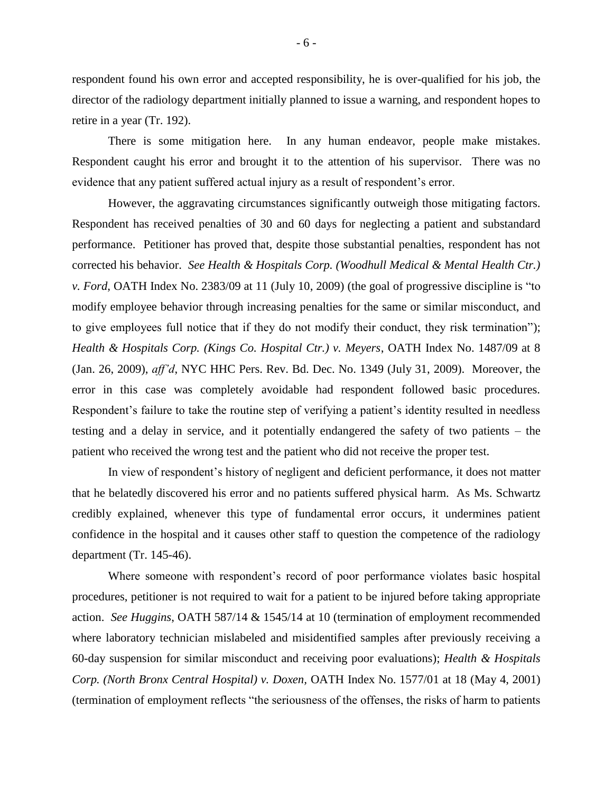respondent found his own error and accepted responsibility, he is over-qualified for his job, the director of the radiology department initially planned to issue a warning, and respondent hopes to retire in a year (Tr. 192).

There is some mitigation here. In any human endeavor, people make mistakes. Respondent caught his error and brought it to the attention of his supervisor. There was no evidence that any patient suffered actual injury as a result of respondent's error.

However, the aggravating circumstances significantly outweigh those mitigating factors. Respondent has received penalties of 30 and 60 days for neglecting a patient and substandard performance. Petitioner has proved that, despite those substantial penalties, respondent has not corrected his behavior. *See Health & Hospitals Corp. (Woodhull Medical & Mental Health Ctr.) v. Ford*, OATH Index No. 2383/09 at 11 (July 10, 2009) (the goal of progressive discipline is "to modify employee behavior through increasing penalties for the same or similar misconduct, and to give employees full notice that if they do not modify their conduct, they risk termination"); *Health & Hospitals Corp. (Kings Co. Hospital Ctr.) v. Meyers*, OATH Index No. 1487/09 at 8 (Jan. 26, 2009), *aff'd*, NYC HHC Pers. Rev. Bd. Dec. No. 1349 (July 31, 2009). Moreover, the error in this case was completely avoidable had respondent followed basic procedures. Respondent's failure to take the routine step of verifying a patient's identity resulted in needless testing and a delay in service, and it potentially endangered the safety of two patients – the patient who received the wrong test and the patient who did not receive the proper test.

In view of respondent's history of negligent and deficient performance, it does not matter that he belatedly discovered his error and no patients suffered physical harm. As Ms. Schwartz credibly explained, whenever this type of fundamental error occurs, it undermines patient confidence in the hospital and it causes other staff to question the competence of the radiology department (Tr. 145-46).

Where someone with respondent's record of poor performance violates basic hospital procedures, petitioner is not required to wait for a patient to be injured before taking appropriate action. *See Huggins*, OATH 587/14 & 1545/14 at 10 (termination of employment recommended where laboratory technician mislabeled and misidentified samples after previously receiving a 60-day suspension for similar misconduct and receiving poor evaluations); *Health & Hospitals Corp. (North Bronx Central Hospital) v. Doxen,* OATH Index No. 1577/01 at 18 (May 4, 2001) (termination of employment reflects "the seriousness of the offenses, the risks of harm to patients